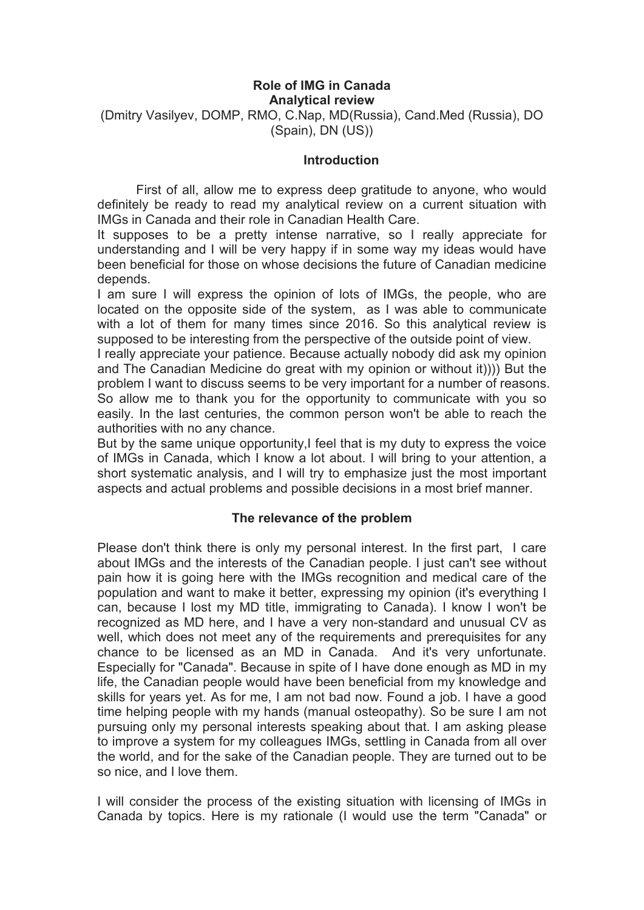## **Role of IMG in Canada Analytical review**

(Dmitry Vasilyev, DOMP, RMO, C.Nap, MD(Russia), Cand.Med (Russia), DO (Spain), DN (US))

## **Introduction**

First of all, allow me to express deep gratitude to anyone, who would definitely be ready to read my analytical review on a current situation with IMGs in Canada and their role in Canadian Health Care.

It supposes to be a pretty intense narrative, so I really appreciate for understanding and I will be very happy if in some way my ideas would have been beneficial for those on whose decisions the future of Canadian medicine depends.

I am sure I will express the opinion of lots of IMGs, the people, who are located on the opposite side of the system, as I was able to communicate with a lot of them for many times since 2016. So this analytical review is supposed to be interesting from the perspective of the outside point of view.

I really appreciate your patience. Because actually nobody did ask my opinion and The Canadian Medicine do great with my opinion or without it)))) But the problem I want to discuss seems to be very important for a number of reasons. So allow me to thank you for the opportunity to communicate with you so easily. In the last centuries, the common person won't be able to reach the authorities with no any chance.

But by the same unique opportunity,I feel that is my duty to express the voice of IMGs in Canada, which I know a lot about. I will bring to your attention, a short systematic analysis, and I will try to emphasize just the most important aspects and actual problems and possible decisions in a most brief manner.

## **The relevance of the problem**

Please don't think there is only my personal interest. In the first part, I care about IMGs and the interests of the Canadian people. I just can't see without pain how it is going here with the IMGs recognition and medical care of the population and want to make it better, expressing my opinion (it's everything I can, because I lost my MD title, immigrating to Canada). Iknow I won't be recognized as MD here, and I have a very non-standard and unusual CV as well, which does not meet any of the requirements and prerequisites for any chance to be licensed as an MD in Canada. And it's very unfortunate. Especially for "Canada". Because in spite of I have done enough as MD in my life, the Canadian people would have been beneficial from my knowledge and skills for years yet. As for me, I am not bad now. Found a job. I have a good time helping people with my hands (manual osteopathy). So be sure I am not pursuing only my personal interests speaking about that. I am asking please to improve a system for my colleagues IMGs, settling in Canada from all over the world, and for the sake of the Canadian people. They are turned out to be so nice, and I love them.

I will consider the process of the existing situation with licensing of IMGs in Canada by topics. Here is my rationale (I would use the term "Canada" or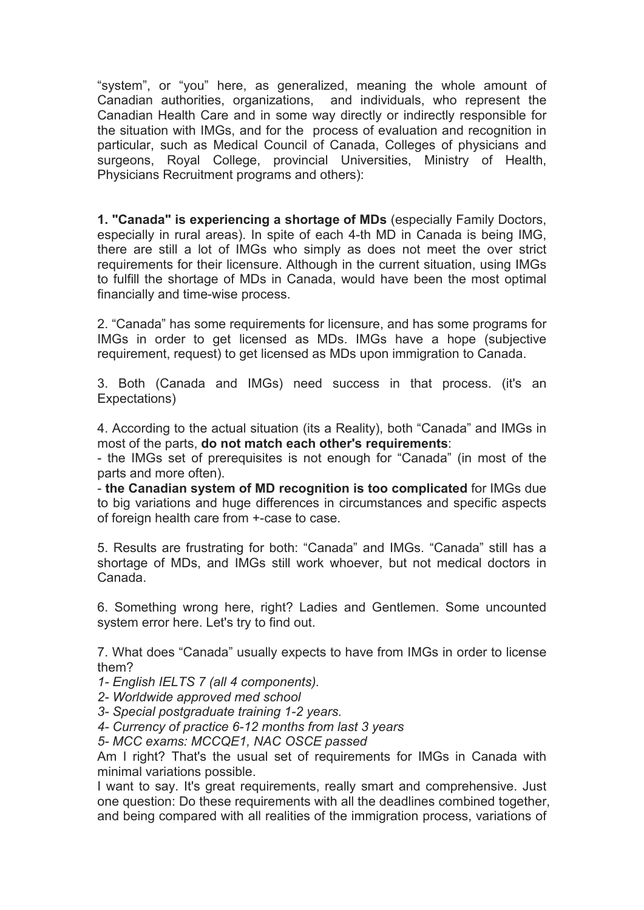"system", or "you" here, as generalized, meaning the whole amount of Canadian authorities, organizations, and individuals, who represent the Canadian Health Care and in some way directly or indirectly responsible for the situation with IMGs, and for the process of evaluation and recognition in particular, such as Medical Council of Canada, Colleges of physicians and surgeons, Royal College, provincial Universities, Ministry of Health, Physicians Recruitment programs and others):

**1. "Canada" is experiencing a shortage of MDs** (especially Family Doctors, especially in rural areas). In spite of each 4-th MD in Canada is being IMG, there are still a lot of IMGs who simply as does not meet the over strict requirements for their licensure. Although in the current situation, using IMGs to fulfill the shortage of MDs in Canada, would have been the most optimal financially and time-wise process.

2. "Canada" has some requirements for licensure, and has some programs for IMGs in order to get licensed as MDs. IMGs have a hope (subjective requirement, request) to get licensed as MDs upon immigration to Canada.

3. Both (Canada and IMGs) need success in that process. (it's an Expectations)

4. According to the actual situation (its a Reality), both "Canada" and IMGs in most of the parts, **do not match each other's requirements**:

- the IMGs set of prerequisites is not enough for "Canada" (in most of the parts and more often).

- **the Canadian system of MD recognition is too complicated** for IMGs due to big variations and huge differences in circumstances and specific aspects of foreign health care from +-case to case.

5. Results are frustrating for both: "Canada" and IMGs. "Canada" still has a shortage of MDs, and IMGs still work whoever, but not medical doctors in Canada.

6. Something wrong here, right? Ladies and Gentlemen. Some uncounted system error here. Let's try to find out.

7. What does "Canada" usually expects to have from IMGs in order to license them?

*1- English IELTS 7 (all 4 components).*

*2- Worldwide approved med school*

*3- Special postgraduate training 1-2 years.*

*4- Currency of practice 6-12 months from last 3 years*

*5- MCC exams: MCCQE1, NAC OSCE passed*

Am I right? That's the usual set of requirements for IMGs in Canada with minimal variations possible.

I want to say. It's great requirements, really smart and comprehensive. Just one question: Do these requirements with all the deadlines combined together, and being compared with all realities of the immigration process, variations of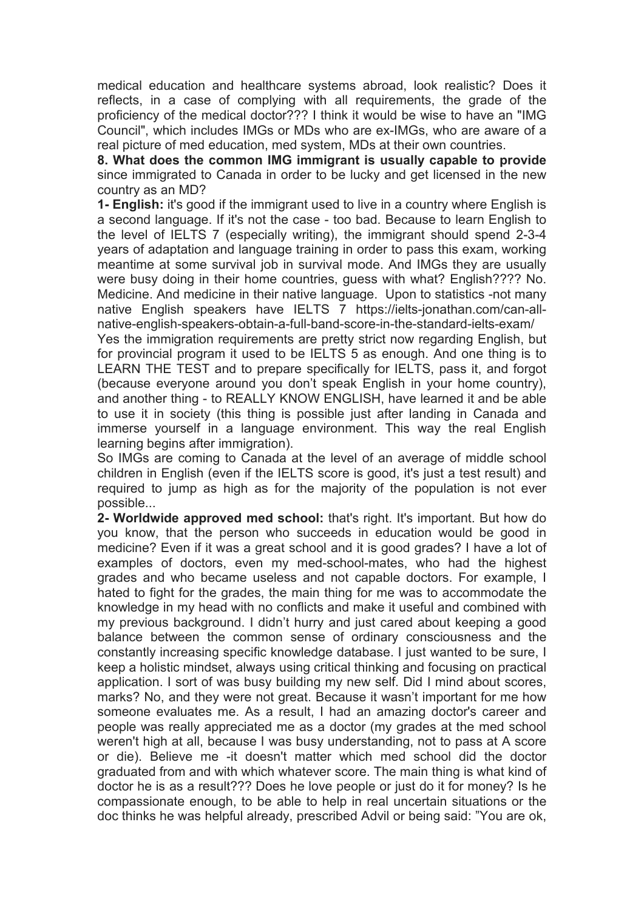medical education and healthcare systems abroad, look realistic? Does it reflects, in a case of complying with all requirements, the grade of the proficiency of the medical doctor??? I think it would be wise to have an "IMG Council", which includes IMGs or MDs who are ex-IMGs, who are aware of a real picture of med education, med system, MDs at their own countries.

**8. What does the common IMG immigrant is usually capable to provide** since immigrated to Canada in order to be lucky and get licensed in the new country as an MD?

**1- English:** it's good if the immigrant used to live in a country where English is a second language. If it's not the case - too bad. Because to learn English to the level of IELTS 7 (especially writing), the immigrant should spend 2-3-4 years of adaptation and language training in order to pass this exam, working meantime at some survival job in survival mode. And IMGs they are usually were busy doing in their home countries, quess with what? English???? No. Medicine. And medicine in their native language. Upon to statistics -not many native English speakers have IELTS 7 https://ielts-jonathan.com/can-all native-english-speakers-obtain-a-full-band-score-in-the-standard-ielts-exam/

Yes the immigration requirements are pretty strict now regarding English, but for provincial program it used to be IELTS 5 as enough. And one thing is to LEARN THE TEST and to prepare specifically for IELTS, pass it, and forgot (because everyone around you don't speak English in your home country), and another thing - to REALLY KNOW ENGLISH, have learned it and be able to use it in society (this thing is possible just after landing in Canada and immerse yourself in a language environment. This way the real English learning begins after immigration).

So IMGs are coming to Canada at the level of an average of middle school children in English (even if the IELTS score isgood, it's just a test result) and required to jump as high as for the majority of the population is not ever possible...

**2- Worldwide approved med school:** that's right. It's important. But how do you know, that the person who succeeds in education would be good in medicine? Even if it was a great school and it is good grades? I have a lot of examples of doctors, even my med-school-mates, who had the highest grades and who became useless and not capable doctors. For example, I hated to fight for the grades, the main thing for me was to accommodate the knowledge in my head with no conflicts and make it useful and combined with my previous background. I didn't hurry and just cared about keeping a good balance between the common sense of ordinary consciousness and the constantly increasing specific knowledge database. I just wanted to be sure, I keep a holistic mindset, always using critical thinking and focusing on practical application. I sort of was busy building my new self. Did I mind about scores, marks? No, and they were not great. Because it wasn't important for me how someone evaluates me. As a result, I had an amazing doctor's career and people was really appreciated me as a doctor (my grades at the med school weren't high at all, because I was busy understanding, not to pass at A score or die). Believe me -it doesn't matter which med school did the doctor graduated from and with which whatever score. The main thing iswhat kind of doctor he is as a result??? Does he love people or just do it for money? Is he compassionate enough, to be able to help in real uncertain situations or the doc thinks he was helpful already, prescribed Advil or being said: "You are ok,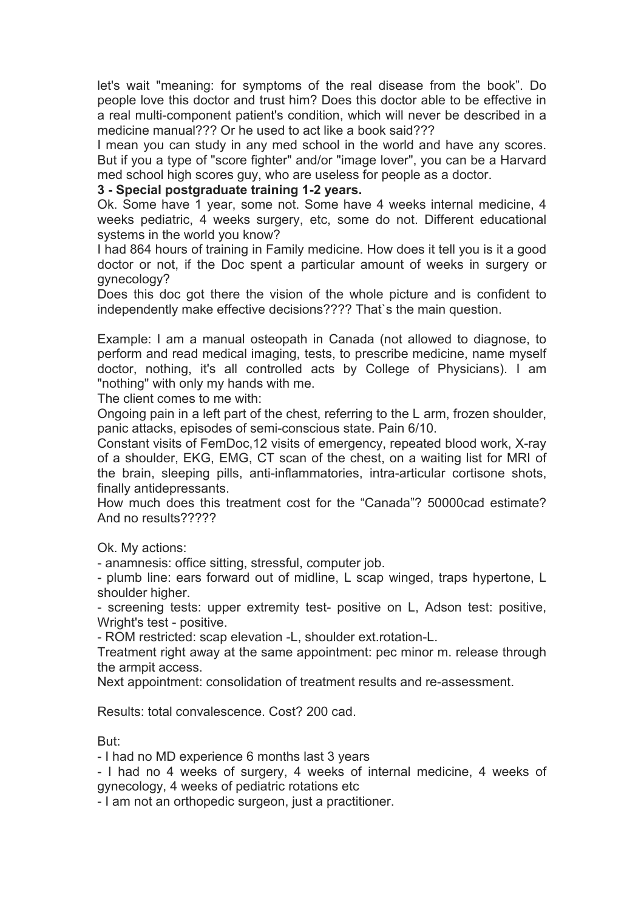let's wait "meaning: for symptoms of the real disease from the book". Do people love this doctor and trust him? Does this doctor able to be effective in a real multi-component patient's condition, which will never be described in a medicine manual??? Or he used to act like a book said???

I mean you can study in any med school in the world and have any scores. But if you a type of "score fighter" and/or "image lover", you can be a Harvard med school high scores guy, who are useless for people as a doctor.

### **3 - Special postgraduate training 1-2 years.**

Ok. Some have 1 year, some not. Some have 4 weeks internal medicine, 4 weeks pediatric, 4 weeks surgery, etc, some do not. Different educational systems in the world you know?

I had 864 hours of training in Family medicine. How does it tell you is it a good doctor or not, if the Doc spent a particular amount of weeks in surgery or gynecology?

Does this doc got there the vision of the whole picture and is confident to independently make effective decisions???? That`s the main question.

Example: I am a manual osteopath in Canada (not allowed to diagnose, to perform and read medical imaging, tests, to prescribe medicine, name myself doctor, nothing, it's all controlled acts by College of Physicians). I am "nothing" with only my hands with me.

The client comes to me with:

Ongoing pain in a left part of the chest, referring to the L arm, frozen shoulder, panic attacks, episodes of semi-conscious state. Pain 6/10.

Constant visits of FemDoc,12 visits of emergency, repeated blood work, X-ray of a shoulder, EKG, EMG, CT scan of the chest, on a waiting list for MRI of the brain, sleeping pills, anti-inflammatories, intra-articular cortisone shots, finally antidepressants.

How much does this treatment cost for the "Canada"? 50000cad estimate? And no results?????

Ok. My actions:

- anamnesis: office sitting, stressful, computer job.

- plumb line: ears forward out of midline, L scap winged, traps hypertone, L shoulder higher.

- screening tests: upper extremity test- positive on L, Adson test: positive, Wright's test - positive.

- ROM restricted: scap elevation -L, shoulder ext.rotation-L.

Treatment right away at the same appointment: pec minor m. release through the armpit access.

Next appointment: consolidation of treatment results and re-assessment.

Results: total convalescence. Cost? 200 cad.

But:

- I had no MD experience 6 months last 3 years

- I had no 4 weeks of surgery, 4 weeks of internal medicine, 4 weeks of gynecology, 4 weeks of pediatric rotations etc

- I am not an orthopedic surgeon, just a practitioner.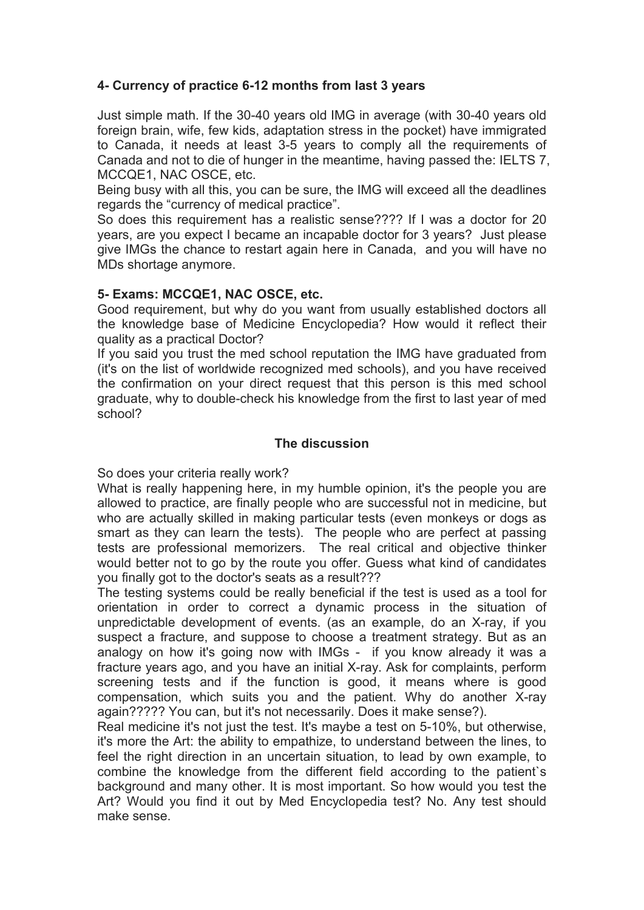# **4- Currency of practice 6-12 months from last 3 years**

Just simple math. If the 30-40 years old IMG in average (with 30-40 years old foreign brain, wife, few kids, adaptation stress in the pocket) have immigrated to Canada, it needs at least 3-5 years to comply all the requirements of Canada and not to die of hunger in the meantime, having passed the: IELTS 7, MCCQE1, NAC OSCE, etc.

Being busy with all this, you can be sure, the IMG will exceed all the deadlines regards the "currency of medical practice".

So does this requirement has a realistic sense???? If I was a doctor for 20 years, are you expect I became an incapable doctor for 3 years? Just please give IMGs the chance to restart again here in Canada, and you will have no MDs shortage anymore.

## **5- Exams: MCCQE1, NAC OSCE, etc.**

Good requirement, but why do you want from usually established doctors all the knowledge base of Medicine Encyclopedia? How would it reflect their quality as a practical Doctor?

If you said you trust the med school reputation the IMG have graduated from (it's on the list of worldwide recognized med schools), and you have received the confirmation on your direct request that this person is this med school graduate, why to double-check his knowledge from the first to last year of med school?

#### **The discussion**

So does your criteria really work?

What is really happening here, in my humble opinion, it's the people you are allowed to practice, are finally people who are successful not in medicine, but who are actually skilled in making particular tests (even monkeys or dogs as smart as they can learn the tests). The people who are perfect at passing tests are professional memorizers. The real critical and objective thinker would better not to go by the route you offer. Guess what kind of candidates you finally got to the doctor's seats as a result???

The testing systems could be really beneficial if the test is used as a tool for orientation in order to correct a dynamic process in the situation of unpredictable development of events. (as an example, do an X-ray, if you suspect a fracture, and suppose to choose a treatment strategy. But as an analogy on how it's going now with IMGs - if you know already it was a fracture years ago, and you have an initial X-ray. Ask for complaints, perform screening tests and if the function is good, it means where is good compensation, which suits you and the patient. Why do another X-ray again????? You can, but it's not necessarily. Does it make sense?).

Real medicine it's not just the test. It's maybe a test on 5-10%, but otherwise, it's more the Art: the ability to empathize, to understand between the lines, to feel the right direction in an uncertain situation, to lead by own example, to combine the knowledge from the different field according to the patient`s background and many other. It is most important. So how would you test the Art? Would you find it out by Med Encyclopedia test? No. Any test should make sense.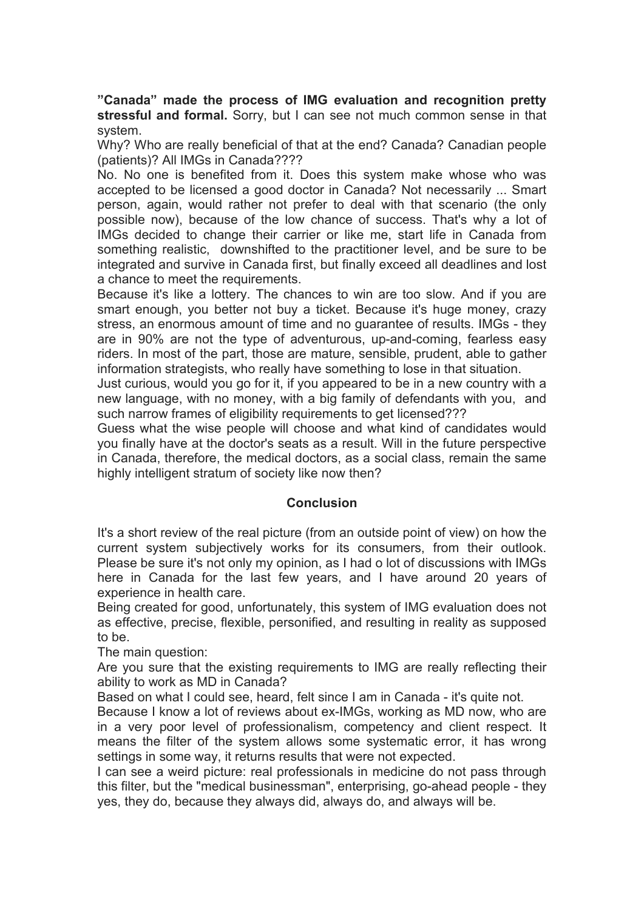**"Canada" made the process of IMG evaluation and recognition pretty stressful and formal.** Sorry, but I can see not much common sense in that system.

Why? Who are really beneficial of that at the end? Canada? Canadian people (patients)? All IMGs in Canada????

No. No one is benefited from it. Does this system make whose who was accepted to be licensed a good doctor in Canada? Not necessarily ... Smart person, again, would rather not prefer to deal with that scenario (the only possible now), because of the low chance of success. That's why a lot of IMGs decided to change their carrier or like me, start life in Canada from something realistic, downshifted to the practitioner level, and be sure to be integrated and survive in Canada first, but finally exceed all deadlines and lost a chance to meet the requirements.

Because it's like a lottery. The chances to win are too slow. And if you are smart enough, you better not buy a ticket. Because it's huge money, crazy stress, an enormous amount of time and no guarantee of results. IMGs - they are in 90% are not the type of adventurous, up-and-coming, fearless easy riders. In most of the part, those are mature, sensible, prudent, able to gather information strategists, who really have something to lose in that situation.

Just curious, would you go for it, if you appeared to be in a new country with a new language, with no money, with a big family of defendants with you, and such narrow frames of eligibility requirements to get licensed???

Guess what the wise people will choose and what kind of candidates would you finally have at the doctor's seats as a result. Will in the future perspective in Canada, therefore, the medical doctors, as a social class, remain the same highly intelligent stratum of society like now then?

#### **Conclusion**

It's a short review of the real picture (from an outside point of view) on how the current system subjectively works for its consumers, from their outlook. Please be sure it's not only my opinion, as I had o lot of discussions with IMGs here in Canada for the last few years, and I have around 20 years of experience in health care.

Being created for good, unfortunately, this system of IMG evaluation does not as effective, precise, flexible, personified, and resulting in reality as supposed to be.

The main question:

Are you sure that the existing requirements to IMG are really reflecting their ability to work as MD in Canada?

Based on what I could see, heard, felt since I am in Canada - it's quite not.

Because I know a lot of reviews about ex-IMGs, working as MD now, who are in a very poor level of professionalism, competency and client respect. It means the filter of the system allows some systematic error, it has wrong settings in some way, it returns results that were not expected.

I can see a weird picture: real professionals in medicine do not pass through this filter, but the "medical businessman", enterprising, go-ahead people - they yes, they do, because they always did, always do, and always will be.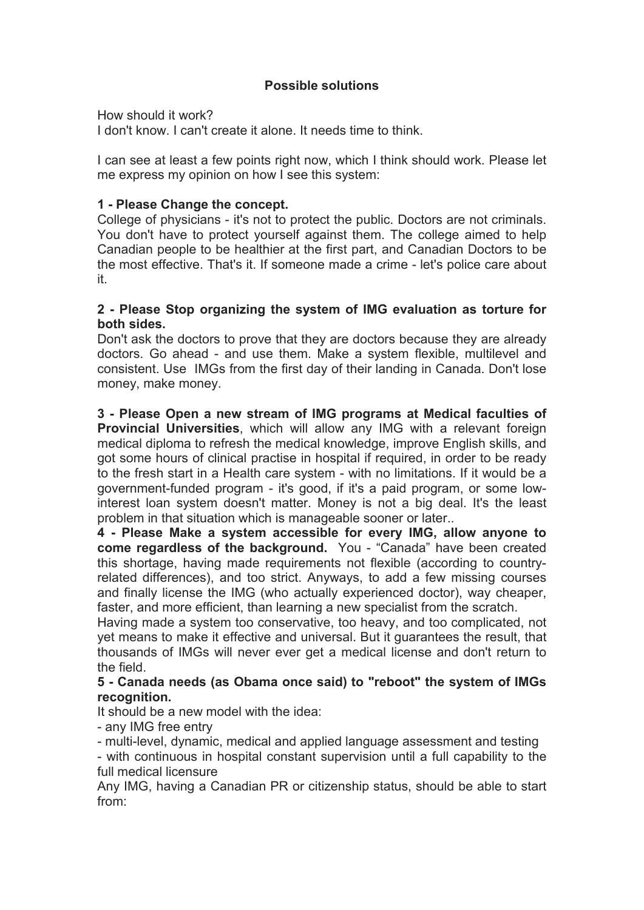# **Possible solutions**

How should it work?

I don't know. I can't create it alone. It needs time to think.

I can see at least a few points right now, which I think should work. Please let me express my opinion on how I see this system:

## **1 - Please Change the concept.**

College of physicians - it's not to protect the public. Doctors are not criminals. You don't have to protect yourself against them. The college aimed to help Canadian people to be healthier at the first part, and Canadian Doctors to be the most effective. That's it. If someone made a crime -let's police care about it.

## **2 - Please Stop organizing the system of IMG evaluation as torture for both sides.**

Don't ask the doctors to prove that they are doctors because they are already doctors. Go ahead - and use them. Make a system flexible, multilevel and consistent. Use IMGs from the first day of their landing in Canada. Don't lose money, make money.

**3 - Please Open a new stream of IMG programs at Medical faculties of Provincial Universities**, which will allow any IMG with a relevant foreign medical diploma to refresh the medical knowledge, improve English skills, and got some hours of clinical practise in hospital if required, in order to be ready to the fresh start in a Health care system - with no limitations. If it would be a government-funded program - it's good, if it's a paid program, or some lowinterest loan system doesn't matter. Money is not a big deal. It's the least problem in that situation which is manageable sooner or later..

**4 - Please Make a system accessible for every IMG, allow anyone to come regardless of the background.** You - "Canada" have been created this shortage, having made requirements not flexible (according to countryrelated differences), and too strict. Anyways, to add a few missing courses and finally license the IMG (who actually experienced doctor), way cheaper, faster, and more efficient, than learning a new specialist from the scratch.

Having made a system too conservative, too heavy, and too complicated, not yet means to make it effective and universal. But it guarantees the result, that thousands of IMGs will never ever get a medical license and don't return to the field.

## **5 - Canada needs (as Obama once said) to "reboot" the system of IMGs recognition.**

It should be a new model with the idea:

- any IMG free entry

- multi-level, dynamic, medical and applied language assessment and testing

- with continuous in hospital constant supervision until a full capability to the full medical licensure

Any IMG, having a Canadian PR or citizenship status, should be able to start from: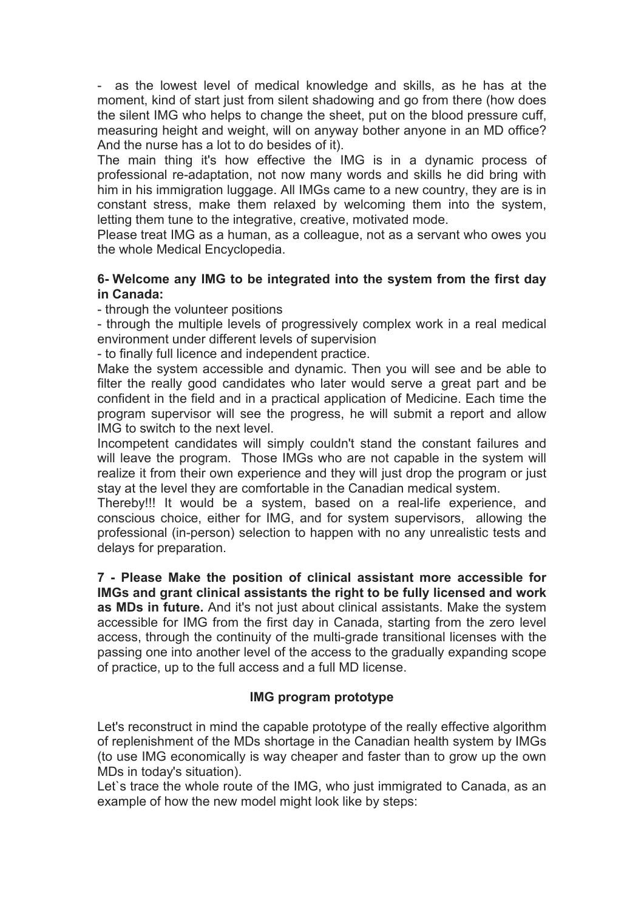- as the lowest level of medical knowledge and skills, as he has at the moment, kind of start just from silent shadowing and go from there (how does the silent IMG who helps to change the sheet, put on the blood pressure cuff, measuring height and weight, will on anyway bother anyone in an MD office? And the nurse has a lot to do besides of it).

The main thing it's how effective the IMG is in a dynamic process of professional re-adaptation, not now many words and skills he did bring with him in his immigration luggage. All IMGs came to a new country, they are is in constant stress, make them relaxed by welcoming them into the system, letting them tune to the integrative, creative, motivated mode.

Please treat IMG as a human, as a colleague, not as a servant who owes you the whole Medical Encyclopedia.

# **6- Welcome any IMG to be integrated into the system from the first day in Canada:**

- through the volunteer positions

- through the multiple levels of progressively complex work in a real medical environment under different levels of supervision

- to finally full licence and independent practice.

Make the system accessible and dynamic. Then you will see and be able to filter the really good candidates who later would serve a great part and be confident in the field and in a practical application of Medicine. Each time the program supervisor will see the progress, he will submit a report and allow IMG to switch to the next level.

Incompetent candidates will simply couldn't stand the constant failures and will leave the program. Those IMGs who are not capable in the system will realize it from their own experience and they will just drop the program or just stay at the level they are comfortable in the Canadian medical system.

Thereby!!! It would be a system, based on a real-life experience, and conscious choice, either for IMG, and for system supervisors, allowing the professional (in-person) selection to happen with no any unrealistic tests and delays for preparation.

**7 - Please Make the position of clinical assistant more accessible for IMGs and grant clinical assistants the right to be fully licensed and work as MDs in future.** And it's not just about clinical assistants. Make the system accessible for IMG from the first day in Canada, starting from the zero level access, through the continuity of the multi-grade transitional licenses with the passing one into another level of the access to the gradually expanding scope of practice, up to the full access and a full MD license.

## **IMG program prototype**

Let's reconstruct in mind the capable prototype of the really effective algorithm of replenishment of the MDs shortage in the Canadian health system by IMGs (to use IMG economically is way cheaper and faster than to grow up the own MDs in today's situation).

Let's trace the whole route of the IMG, who just immigrated to Canada, as an example of how the new model might look like by steps: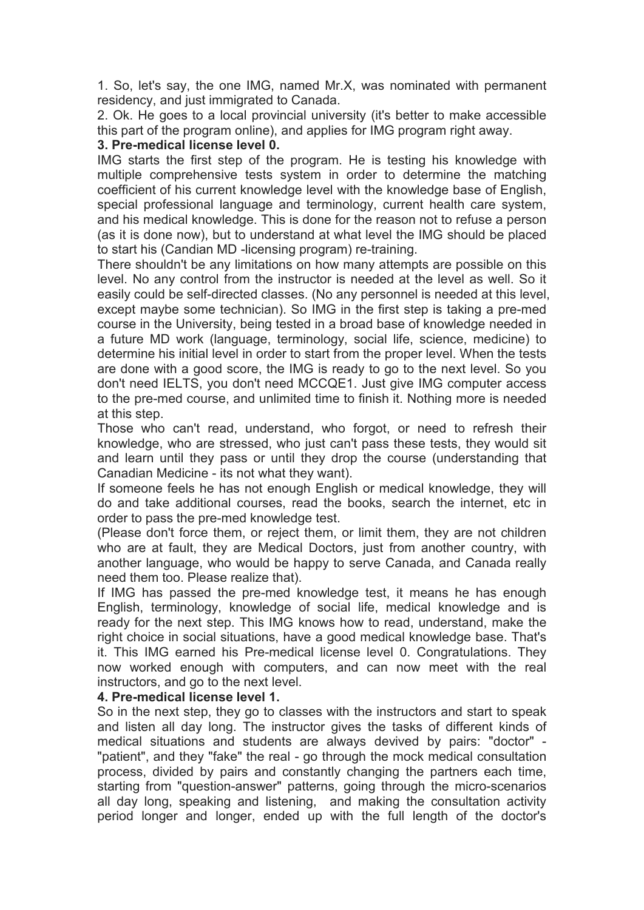1. So, let's say, the one IMG, named Mr.X, was nominated with permanent residency, and just immigrated to Canada.

2. Ok. He goes to a local provincial university (it's better to make accessible this part of the program online), and applies for IMG program right away.

#### **3. Pre-medical license level 0.**

IMG starts the first step of the program. He is testing his knowledge with multiple comprehensive tests system in order to determine the matching coefficient of his current knowledge level with the knowledge base of English, special professional language and terminology, current health care system, and his medical knowledge. Тhis is done for the reason not to refuse a person (as it is done now), but to understand at what level the IMG should be placed to start his (Candian MD -licensing program) re-training.

There shouldn't be any limitations on how many attempts are possible on this level. No any control from the instructor is needed at the level as well. So it easily could be self-directed classes. (No any personnel is needed at this level, except maybe some technician). So IMG in the first step is taking a pre-med course in the University, being tested in a broad base of knowledge needed in a future MD work (language, terminology, social life, science, medicine) to determine his initial level in order to start from the proper level. When the tests are done with a good score, the IMG is ready to go to the next level. So you don't need IELTS, you don't need MCCQE1. Just give IMG computer access to the pre-med course, and unlimited time to finish it. Nothing more is needed at this step.

Those who can't read, understand, who forgot, or need to refresh their knowledge, who are stressed, who just can't pass these tests, they would sit and learn until they pass or until they drop the course (understanding that Canadian Medicine - its not what they want).

If someone feels he has not enough English or medical knowledge, they will do and take additional courses, read the books, search the internet, etc in order to pass the pre-med knowledge test.

(Please don't force them, or reject them, or limit them, they are not children who are at fault, they are Medical Doctors, just from another country, with another language, who would be happy to serve Canada, and Canada really need them too. Please realize that).

If IMG has passed the pre-med knowledge test, it means he has enough English, terminology, knowledge of social life, medical knowledge and is ready for the next step. This IMG knows how to read, understand, make the right choice in social situations, have a good medical knowledge base. That's it. This IMG earned his Pre-medical license level 0. Congratulations. They now worked enough with computers, and can now meet with the real instructors, and go to the next level.

#### **4. Pre-medical license level 1.**

So in the next step, they go to classes with the instructors and start to speak and listen all day long. The instructor gives the tasks of different kinds of medical situations and students are always devived by pairs: "doctor" - "patient", and they "fake" the real - go through the mock medical consultation process, divided by pairs and constantly changing the partners each time, starting from "question-answer" patterns, going through the micro-scenarios all day long, speaking and listening, and making the consultation activity period longer and longer, ended up with the full length of the doctor's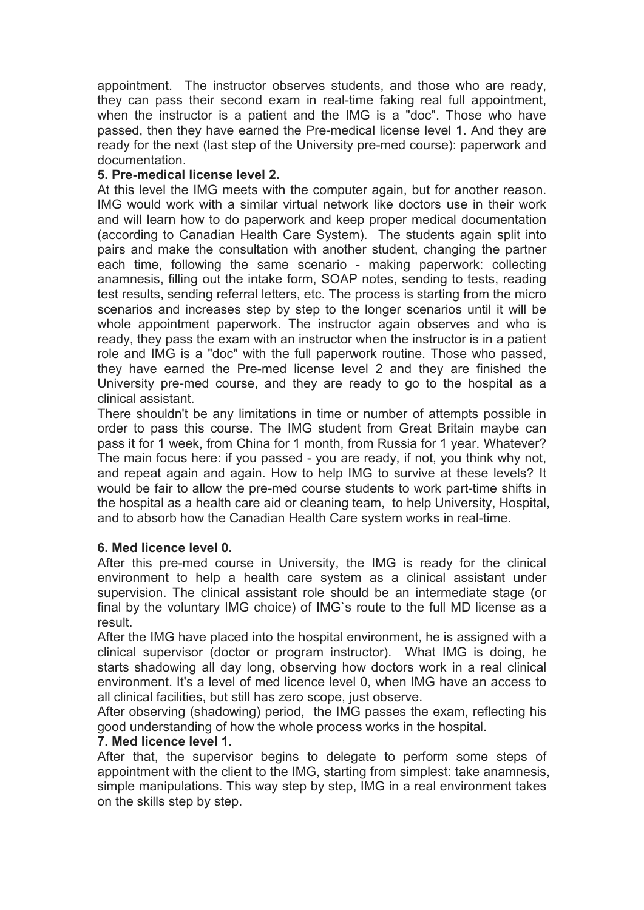appointment. The instructor observes students, and those who are ready, they can pass their second exam in real-time faking real full appointment, when the instructor is a patient and the IMG is a "doc". Those who have passed, then they have earned the Pre-medical license level 1. And they are ready for the next (last step of the University pre-med course): paperwork and documentation.

## **5. Pre-medical license level 2.**

At this level the IMG meets with the computer again, but for another reason. IMG would work with a similar virtual network like doctors use in their work and will learn how to do paperwork and keep proper medical documentation (according to Canadian Health Care System). The students again split into pairs and make the consultation with another student, changing the partner each time, following the same scenario - making paperwork: collecting anamnesis, filling out the intake form, SOAP notes, sending to tests, reading test results, sending referral letters, etc. The process is starting from the micro scenarios and increases step by step to the longer scenarios until it will be whole appointment paperwork. The instructor again observes and who is ready, they pass the exam with an instructor when the instructor is in a patient role and IMG is a "doc" with the full paperwork routine. Those who passed, they have earned the Pre-med license level 2 and they are finished the University pre-med course, and they are ready to go to the hospital as a clinical assistant.

There shouldn't be any limitations in time or number of attempts possible in order to pass this course. The IMG student from Great Britain maybe can pass it for 1 week, from China for 1 month, from Russia for 1 year. Whatever? The main focus here: if you passed - you are ready, if not, you think why not, and repeat again and again. How to help IMG to survive at these levels? It would be fair to allow the pre-med course students to work part-time shifts in the hospital as a health care aid or cleaning team, to help University, Hospital, and to absorb how the Canadian Health Care system works in real-time.

## **6. Med licence level 0.**

After this pre-med course in University, the IMG is ready for the clinical environment to help a health care system as a clinical assistant under supervision. The clinical assistant role should be an intermediate stage (or final by the voluntary IMG choice) of IMG`s route to the full MD license as a result.

After the IMG have placed into the hospital environment, he is assigned with a clinical supervisor (doctor or program instructor). What IMG is doing, he starts shadowing all day long, observing how doctors work in a real clinical environment. It's a level of med licence level 0, when IMG have an access to all clinical facilities, but still has zero scope, just observe.

After observing (shadowing) period, the IMG passes the exam, reflecting his good understanding of how the whole process works in the hospital.

## **7. Med licence level 1.**

After that, the supervisor begins to delegate to perform some steps of appointment with the client to the IMG, starting from simplest: take anamnesis, simple manipulations. This way step by step, IMG in a real environment takes on the skills step by step.